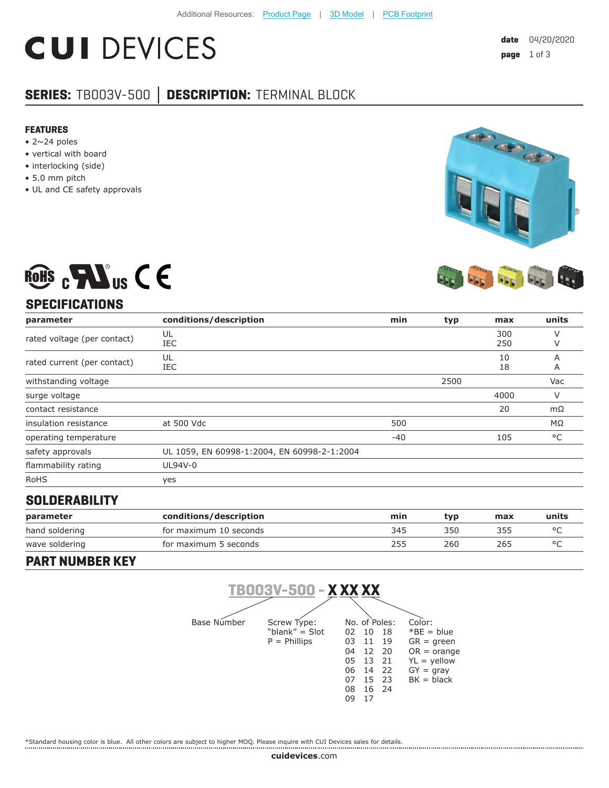# **CUI DEVICES**

## **SERIES:** TB003V-500 **│ DESCRIPTION:** TERMINAL BLOCK

#### **FEATURES**

- $\bullet$  2~24 poles
- vertical with board
- interlocking (side)
- 5.0 mm pitch
- UL and CE safety approvals



## **SPECIFICATIONS**

ROHS  $_{c}$  Mus C E

| parameter                   | conditions/description                      | min   | typ  | max        | units  |
|-----------------------------|---------------------------------------------|-------|------|------------|--------|
| rated voltage (per contact) | UL<br>IEC                                   |       |      | 300<br>250 |        |
| rated current (per contact) | UL<br>IEC                                   |       |      | 10<br>18   | А<br>Α |
| withstanding voltage        |                                             |       | 2500 |            | Vac    |
| surge voltage               |                                             |       |      | 4000       | v      |
| contact resistance          |                                             |       |      | 20         | mΩ     |
| insulation resistance       | at 500 Vdc                                  | 500   |      |            | ΜΩ     |
| operating temperature       |                                             | $-40$ |      | 105        | °C     |
| safety approvals            | UL 1059, EN 60998-1:2004, EN 60998-2-1:2004 |       |      |            |        |
| flammability rating         | UL94V-0                                     |       |      |            |        |
| <b>RoHS</b>                 | yes                                         |       |      |            |        |

#### **SOLDERABILITY**

| parameter      | conditions/description | min | tvp | max | units |
|----------------|------------------------|-----|-----|-----|-------|
| hand soldering | for maximum 10 seconds | 345 | 350 | 355 |       |
| wave soldering | for maximum 5 seconds  | 255 | 260 | 265 |       |

#### **PART NUMBER KEY**



\*Standard housing color is blue. All other colors are subject to higher MOQ. Please inquire with CUI Devices sales for details.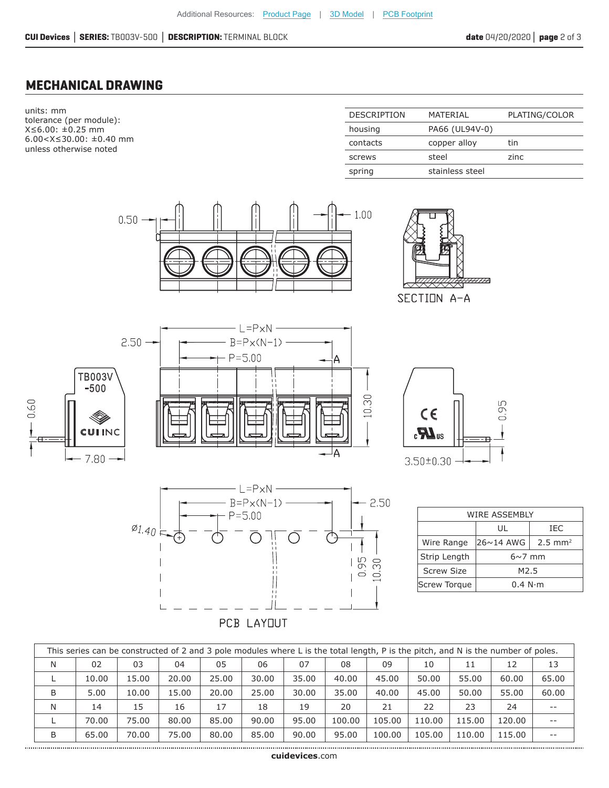### **MECHANICAL DRAWING**

units: mm tolerance (per module): X≤6.00: ±0.25 mm 6.00<X≤30.00: ±0.40 mm unless otherwise noted

| <b>DESCRIPTION</b> | MATFRIAI        | PLATING/COLOR |
|--------------------|-----------------|---------------|
| housing            | PA66 (UL94V-0)  |               |
| contacts           | copper alloy    | tin           |
| screws             | steel           | zinc          |
| spring             | stainless steel |               |
|                    |                 |               |













| WIRE ASSEMBLY       |                                               |     |  |  |  |  |
|---------------------|-----------------------------------------------|-----|--|--|--|--|
|                     | UL                                            | IEC |  |  |  |  |
| Wire Range          | $ 26 \sim 14$ AWG $ $<br>$2.5 \, \text{mm}^2$ |     |  |  |  |  |
| Strip Length        | $6\sim$ 7 mm                                  |     |  |  |  |  |
| <b>Screw Size</b>   | M <sub>2.5</sub>                              |     |  |  |  |  |
| <b>Screw Torque</b> | 0.4 N·m                                       |     |  |  |  |  |

| This series can be constructed of 2 and 3 pole modules where L is the total length, P is the pitch, and N is the number of poles. |       |       |       |       |       |       |        |        |        |        |        |       |
|-----------------------------------------------------------------------------------------------------------------------------------|-------|-------|-------|-------|-------|-------|--------|--------|--------|--------|--------|-------|
| N                                                                                                                                 | 02    | 03    | 04    | 05    | 06    | 07    | 08     | 09     | 10     | 11     | 12     | 13    |
|                                                                                                                                   | 10.00 | 15.00 | 20.00 | 25.00 | 30.00 | 35.00 | 40.00  | 45.00  | 50.00  | 55.00  | 60.00  | 65.00 |
| B                                                                                                                                 | 5.00  | 10.00 | 15.00 | 20.00 | 25.00 | 30.00 | 35.00  | 40.00  | 45.00  | 50.00  | 55.00  | 60.00 |
| N                                                                                                                                 | 14    | 15    | 16    | 17    | 18    | 19    | 20     | 21     | 22     | 23     | 24     | --    |
|                                                                                                                                   | 70.00 | 75.00 | 80.00 | 85.00 | 90.00 | 95.00 | 100.00 | 105.00 | 110.00 | 115.00 | 120.00 | --    |
| B                                                                                                                                 | 65.00 | 70.00 | 75.00 | 80.00 | 85.00 | 90.00 | 95.00  | 100.00 | 105.00 | 110.00 | 115.00 | $- -$ |
|                                                                                                                                   |       |       |       |       |       |       |        |        |        |        |        |       |